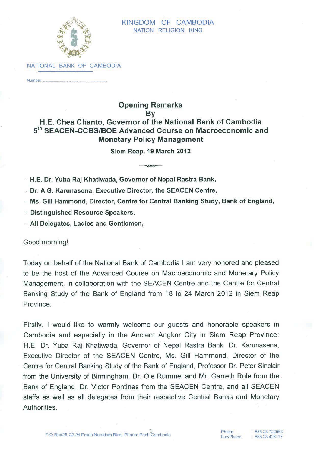

NATIONAL BANK OF CAMBODIA

Number...

## **Opening Remarks** By H.E. Chea Chanto, Governor of the National Bank of Cambodia 5th SEACEN-CCBS/BOE Advanced Course on Macroeconomic and **Monetary Policy Management**

Siem Reap, 19 March 2012

- H.E. Dr. Yuba Raj Khatiwada, Governor of Nepal Rastra Bank,

- Dr. A.G. Karunasena, Executive Director, the SEACEN Centre,

- Ms. Gill Hammond, Director, Centre for Central Banking Study, Bank of England,

- Distinguished Resource Speakers,

- All Delegates, Ladies and Gentlemen,

Good morning!

Today on behalf of the National Bank of Cambodia I am very honored and pleased to be the host of the Advanced Course on Macroeconomic and Monetary Policy Management, in collaboration with the SEACEN Centre and the Centre for Central Banking Study of the Bank of England from 18 to 24 March 2012 in Siem Reap Province.

Firstly, I would like to warmly welcome our guests and honorable speakers in Cambodia and especially in the Ancient Angkor City in Siem Reap Province: H.E. Dr. Yuba Rai Khatiwada. Governor of Nepal Rastra Bank, Dr. Karunasena, Executive Director of the SEACEN Centre, Ms. Gill Hammond, Director of the Centre for Central Banking Study of the Bank of England, Professor Dr. Peter Sinclair from the University of Birmingham, Dr. Ole Rummel and Mr. Garreth Rule from the Bank of England, Dr. Victor Pontines from the SEACEN Centre, and all SEACEN staffs as well as all delegates from their respective Central Banks and Monetary Authorities.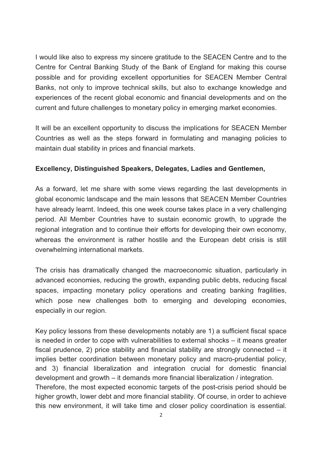I would like also to express my sincere gratitude to the SEACEN Centre and to the Centre for Central Banking Study of the Bank of England for making this course possible and for providing excellent opportunities for SEACEN Member Central Banks, not only to improve technical skills, but also to exchange knowledge and experiences of the recent global economic and financial developments and on the current and future challenges to monetary policy in emerging market economies.

It will be an excellent opportunity to discuss the implications for SEACEN Member Countries as well as the steps forward in formulating and managing policies to maintain dual stability in prices and financial markets.

## **Excellency, Distinguished Speakers, Delegates, Ladies and Gentlemen,**

As a forward, let me share with some views regarding the last developments in global economic landscape and the main lessons that SEACEN Member Countries have already learnt. Indeed, this one week course takes place in a very challenging period. All Member Countries have to sustain economic growth, to upgrade the regional integration and to continue their efforts for developing their own economy, whereas the environment is rather hostile and the European debt crisis is still overwhelming international markets.

The crisis has dramatically changed the macroeconomic situation, particularly in advanced economies, reducing the growth, expanding public debts, reducing fiscal spaces, impacting monetary policy operations and creating banking fragilities, which pose new challenges both to emerging and developing economies, especially in our region.

Key policy lessons from these developments notably are 1) a sufficient fiscal space is needed in order to cope with vulnerabilities to external shocks – it means greater fiscal prudence, 2) price stability and financial stability are strongly connected – it implies better coordination between monetary policy and macro-prudential policy, and 3) financial liberalization and integration crucial for domestic financial development and growth – it demands more financial liberalization / integration. Therefore, the most expected economic targets of the post-crisis period should be higher growth, lower debt and more financial stability. Of course, in order to achieve this new environment, it will take time and closer policy coordination is essential.